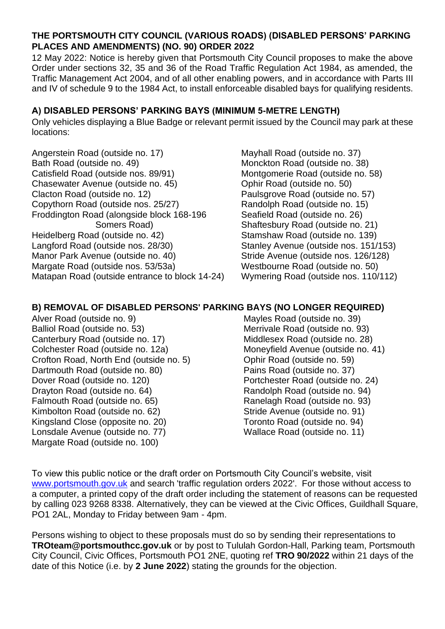## **THE PORTSMOUTH CITY COUNCIL (VARIOUS ROADS) (DISABLED PERSONS' PARKING PLACES AND AMENDMENTS) (NO. 90) ORDER 2022**

12 May 2022: Notice is hereby given that Portsmouth City Council proposes to make the above Order under sections 32, 35 and 36 of the Road Traffic Regulation Act 1984, as amended, the Traffic Management Act 2004, and of all other enabling powers, and in accordance with Parts III and IV of schedule 9 to the 1984 Act, to install enforceable disabled bays for qualifying residents.

## **A) DISABLED PERSONS' PARKING BAYS (MINIMUM 5-METRE LENGTH)**

Only vehicles displaying a Blue Badge or relevant permit issued by the Council may park at these locations:

Angerstein Road (outside no. 17) Bath Road (outside no. 49) Catisfield Road (outside nos. 89/91) Chasewater Avenue (outside no. 45) Clacton Road (outside no. 12) Copythorn Road (outside nos. 25/27) Froddington Road (alongside block 168-196 Somers Road) Heidelberg Road (outside no. 42) Langford Road (outside nos. 28/30) Manor Park Avenue (outside no. 40) Margate Road (outside nos. 53/53a) Matapan Road (outside entrance to block 14-24)

Mayhall Road (outside no. 37) Monckton Road (outside no. 38) Montgomerie Road (outside no. 58) Ophir Road (outside no. 50) Paulsgrove Road (outside no. 57) Randolph Road (outside no. 15) Seafield Road (outside no. 26) Shaftesbury Road (outside no. 21) Stamshaw Road (outside no. 139) Stanley Avenue (outside nos. 151/153) Stride Avenue (outside nos. 126/128) Westbourne Road (outside no. 50) Wymering Road (outside nos. 110/112)

## **B) REMOVAL OF DISABLED PERSONS' PARKING BAYS (NO LONGER REQUIRED)**

Alver Road (outside no. 9) Balliol Road (outside no. 53) Canterbury Road (outside no. 17) Colchester Road (outside no. 12a) Crofton Road, North End (outside no. 5) Dartmouth Road (outside no. 80) Dover Road (outside no. 120) Drayton Road (outside no. 64) Falmouth Road (outside no. 65) Kimbolton Road (outside no. 62) Kingsland Close (opposite no. 20) Lonsdale Avenue (outside no. 77) Margate Road (outside no. 100)

Mayles Road (outside no. 39) Merrivale Road (outside no. 93) Middlesex Road (outside no. 28) Moneyfield Avenue (outside no. 41) Ophir Road (outside no. 59) Pains Road (outside no. 37) Portchester Road (outside no. 24) Randolph Road (outside no. 94) Ranelagh Road (outside no. 93) Stride Avenue (outside no. 91) Toronto Road (outside no. 94) Wallace Road (outside no. 11)

To view this public notice or the draft order on Portsmouth City Council's website, visit [www.portsmouth.gov.uk](http://www.portsmouth.gov.uk/) and search 'traffic regulation orders 2022'. For those without access to a computer, a printed copy of the draft order including the statement of reasons can be requested by calling 023 9268 8338. Alternatively, they can be viewed at the Civic Offices, Guildhall Square, PO1 2AL, Monday to Friday between 9am - 4pm.

Persons wishing to object to these proposals must do so by sending their representations to **TROteam@portsmouthcc.gov.uk** or by post to Tululah Gordon-Hall, Parking team, Portsmouth City Council, Civic Offices, Portsmouth PO1 2NE, quoting ref **TRO 90/2022** within 21 days of the date of this Notice (i.e. by **2 June 2022**) stating the grounds for the objection.